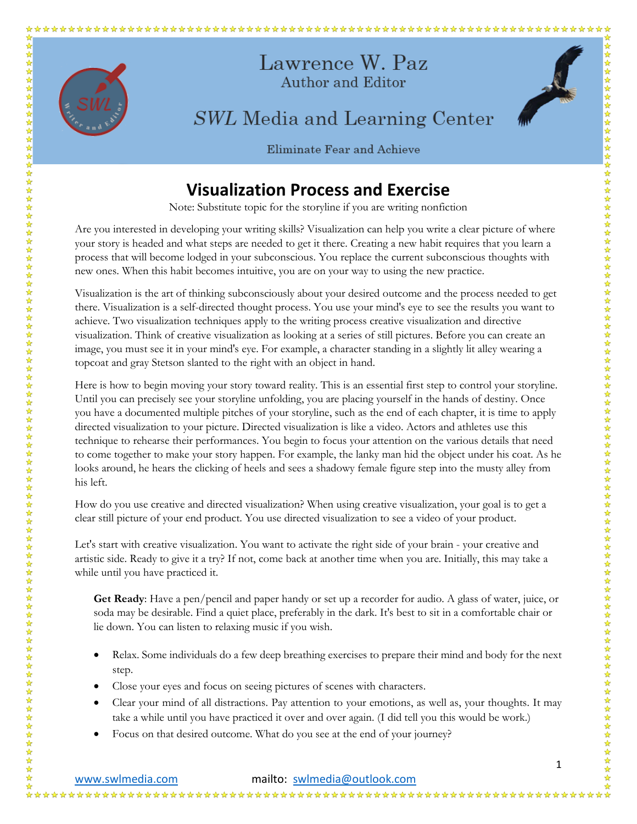

## Eliminate Fear and Achieve

## **Visualization Process and Exercise**

Note: Substitute topic for the storyline if you are writing nonfiction

Are you interested in developing your writing skills? Visualization can help you write a clear picture of where your story is headed and what steps are needed to get it there. Creating a new habit requires that you learn a process that will become lodged in your subconscious. You replace the current subconscious thoughts with new ones. When this habit becomes intuitive, you are on your way to using the new practice.

Visualization is the art of thinking subconsciously about your desired outcome and the process needed to get there. Visualization is a self-directed thought process. You use your mind's eye to see the results you want to achieve. Two visualization techniques apply to the writing process creative visualization and directive visualization. Think of creative visualization as looking at a series of still pictures. Before you can create an image, you must see it in your mind's eye. For example, a character standing in a slightly lit alley wearing a topcoat and gray Stetson slanted to the right with an object in hand.

Here is how to begin moving your story toward reality. This is an essential first step to control your storyline. Until you can precisely see your storyline unfolding, you are placing yourself in the hands of destiny. Once you have a documented multiple pitches of your storyline, such as the end of each chapter, it is time to apply directed visualization to your picture. Directed visualization is like a video. Actors and athletes use this technique to rehearse their performances. You begin to focus your attention on the various details that need to come together to make your story happen. For example, the lanky man hid the object under his coat. As he looks around, he hears the clicking of heels and sees a shadowy female figure step into the musty alley from his left.

How do you use creative and directed visualization? When using creative visualization, your goal is to get a clear still picture of your end product. You use directed visualization to see a video of your product.

Let's start with creative visualization. You want to activate the right side of your brain - your creative and artistic side. Ready to give it a try? If not, come back at another time when you are. Initially, this may take a while until you have practiced it.

**Get Ready**: Have a pen/pencil and paper handy or set up a recorder for audio. A glass of water, juice, or soda may be desirable. Find a quiet place, preferably in the dark. It's best to sit in a comfortable chair or lie down. You can listen to relaxing music if you wish.

- Relax. Some individuals do a few deep breathing exercises to prepare their mind and body for the next step.
- Close your eyes and focus on seeing pictures of scenes with characters.
- Clear your mind of all distractions. Pay attention to your emotions, as well as, your thoughts. It may take a while until you have practiced it over and over again. (I did tell you this would be work.)
- Focus on that desired outcome. What do you see at the end of your journey?